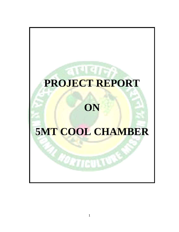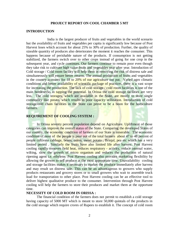## **PROJECT REPORT ON COOL CHAMBER 5 MT**

## **INTRODUCTION**

India is the largest producer of fruits and vegetables in the world scenario but the availability of fruits and vegetables per capita is significantly low because of Post Harvest loses which account for about 25% to 30% of production. Further, the quality of sizeable quantity of produces also deteriorates the moment it reaches the consumer. This happens because of perishable nature of the products. If consumption is not getting stabilized, the farmers switch over to other crops instead of going for one crop in the subsequent year, and cycle continues. Our farmers continue to remain poor even though they take risk to cultivate high value fruits and vegetables year after year. Introduction of Cold storage / Cold room facility will help them in removing the risk of distress sale and simultaneously will ensure better returns. The annual production of fruits and vegetables in the country accounts for 18 to 20% of our agriculture out put. Varied agro climatic conditions and better availability of scientific package of practices, there is a vast scope for increasing the production. The lack of cold storage / cold room facilities is one of the main bottlenecks in tapping the potential. In Orissa the cold storage facilities are very less. The cold storages, which are available in the State, are mostly to store single commodity like potato, which results in poor capacity utilization. Introduction of cold storage/cold chain facilities in the State can prove to be a boon for the horticulture farmers.

## **REQUIREMENT OF COOLING SYSTEM :**

In Orissa seventy percent population depend on Agriculture. Upliftment of those categories can improve the overall status of the State. Comparing the developed States of our country, the economic condition of farmers of our State is miserable. The economic condition of most of the people is poor out of the total farmers about 47 to 48 percent of people cultivate cabbage, beans, onion, sweet potato , Brinjal, pea etc which has a very limited period. Similarly the fruits have also limited life after harvest. Post Harvest cooling rapidly removes field heat, reduces respiratory - activity, reduce internal water, wilting, slow the growth of micro organism and reduces the production of natural ripening agent i.e. ethylene. Post Harvest cooling also provides marketing flexibility by allowing the grower to sell produce at the most appropriate time. Unavailability cooling and storage facilities makes it necessary to market the produce immediately after harvest and may result un distress sale. This can be an advantageous to growers who supply products restaurants and grocery stores or to small growers who wait to assemble truck load for transportation to other place. Post Harvest cooling can be an effective tool to deliver highest qualitative produce to the consumer. Intervention through Post Harvest cooling will help the farmers to store their produces and market them at the opportune time.

×

## **NECESSITY OF COLD ROOM IN ORISSA :**

The financial condition of the farmers does not permit to establish a cold storage having capacity of 5000 MT which is meant to store 50,000 quintals of the products in the cold storage which require crores of Rupees to establish it. The concept of cold room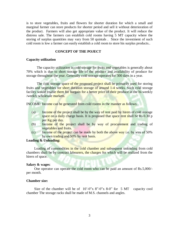is to store vegetables, fruits and flowers for shorter duration for which a small and marginal farmer can store products for shorter period and sell it without deterioration of the product. Farmers will also get appropriate value of the product. It will reduce the distress sale. The farmers can establish cold rooms having 5 MT capacity where the storing of surplus quantities may vary from 50 quintals . Since the investment of such cold room is low a farmer can easily establish a cold room to store his surplus products..

## **CONCEPT OF THE POJECT**

#### **Capacity utilization**

The capacity utilization in cold storage for fruits and vegetables is generally about 70% which is due to short storage life of the produce and availability of produce for storage throughout the year. Generally cold storage operates for 300 days in a year.

The cold storage space of the proposed project shall be primarily used for storing fruits and vegetables for short duration storage of around 1-4 weeks. Such cold storage facility would enable them for bargain for a better price of their produce at the bi-weekly /weekly wholesale markets.

INCOME: Income can be generated from cold rooms in the manner as follows:

- (a) Income of the project shall be by the way of rent paid by hirers of cold storage space on a daily charge basis. It is proposed that space rent shall be Rs.0.30 p per Kg per day.
- (b) Income of the project shall be by way of procurement and trading of vegetables and fruits.
- (c) Income of the project can be made by both the above way i.e. by way of  $50\%$ by own trading and 50% by rent basis.

## **Loading & Unloading:**

Loading of commodities in the cold chamber and subsequent unloading from cold chambers shall be by contract labourers, the charges for which will be realized from the hirers of space.

#### **Salary & wages**:

One operator can operate the cold room who can be paid an amount of Rs.5,000/ per month.

## **Chamber size:**

Size of the chamber will be of  $10^{\circ}$ -0"x 8"-0"x 8-0" for 5 MT capacity cool chamber The storage racks shall be made of M.S. channels and angles.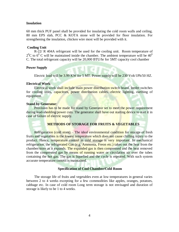## **Insulation**

60 mm thick PUF panel shall be provided for insulating the cold room walls and ceiling. 80 mm EPS slab, PCC & KOTA stone will be provided for floor insulation. For strengthening the insulation, chicken wire most will be provided with it.

## **Cooling Unit**

R-22/ R 404A refrigerant will be used for the cooling unit. Room temperature of  $2^{0}$ C to 6<sup>0</sup> C will be maintained inside the chamber. The ambient temperature will be 40<sup>0</sup> C. The total refrigerant capacity will be 20,000 BTU/hr for 5MT capacity cool chamber

## **Power Supply**

Electric load will be 3.99 KW for 5 MT. Power supply will be 230 Volt/1Ph/50 HZ.

## **Electrical Work**:

Electrical work shall include main power distribution switch board, feeder switches for cooling units, capacitors, power distribution cables, electric lighting, earthing of equipment.

## **Stand by Generator**:

Provision has to be made for stand by Generator set to meet the power requirement during load-shedding/power cuts. The generator shall have out starting device to start it in case of failure of electric supply.

## **METHODS OF STORAGE FOR FRUITS & VEGETABLES**

Refrigeration (cold store) – The ideal environmental condition for storage of fresh fruits and vegetables is the lowest temperature which does not cause chilling injury to the product. Hence, temperature control in cold storage is very important. In mechanical refrigeration, the refrigerated Gas (e.g. Ammonia, Freon etc.) takes out the heat from the chamber/store as it expands. The expanded gas is then compressed and the heat removed from the compressed gas by means of running water or circulation air over the tubes containing the hot gas. The gas is liquefied and the cycle is repeated. With such system accurate temperature control is maintained.

## **Specification of Cool Chamber/Cold Room**

The storage life of fruits and vegetables even at low temperatures in general varies between 2 to 4 weeks excepting for a few commodities like apples, oranges, potatoes, cabbage etc. In case of cold room Long term storage is not envisaged and duration of storage is likely to be 1 to 4 weeks.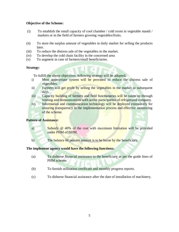## **Objective of the Scheme:**

- (i) To establish the small capacity of cool chamber / cold room in vegetable mandi / markets or in the field of farmers growing vegetables/fruits.
- (ii) To store the surplus amount of vegetables in daily market for selling the products later.
- (iii) To reduce the distress sale of the vegetables in the market.
- (iv) To develop the cold chain facility in the concerned area
- (v) To augment in case of farmers/small beneficiaries.

## **Strategy**:

To fulfill the above objectives, following strategy will be adopted.

- i) Most appropriate system will be provided to reduce the distress sale of vegetables.
- ii) Farmers will get profit by selling the vegetables in the market in subsequent days.
- iii) Capacity building of farmers and field functionaries will be taken up through training and demonstrations with active participation of refrigerated company.
- iv) Information and communication technology will be deployed extensively for ensuring transparency in the implementation process and effective monitoring of the scheme.

## **Pattern of Assistance**:

- a) Subsidy @ 40% of the cost with maximum limitation will be provided under PHM of NHM.
- b) The balance 60 percent amount is to be borne by the beneficiary.

## **The implement agency would have the following functions:**

- (a) To disburse financial assistance to the beneficiary as per the guide lines of PHM scheme.
- (b) To furnish utilization certificate and monthly progress reports.
- (c) To disburse financial assistance after the date of installation of machinery.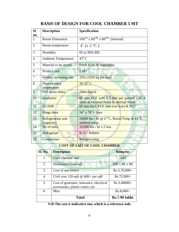| <b>SI</b><br>no. | <b>Description</b>                      | Specification                                                                        |
|------------------|-----------------------------------------|--------------------------------------------------------------------------------------|
| 1                | <b>Room Dimension</b>                   | $10 \text{ft}^{(L)} \times 8 \text{ft}^{(B)} \times 8 \text{ft}^{(H)}$ (Internal)    |
| $\overline{2}$   | Room temperature                        | $4^{0}$ ( $\pm$ 2 °C)                                                                |
| 3                | Humidity                                | 85 to 90% RH                                                                         |
| 4                | <b>Ambient Temperature</b>              | $43^{\circ}$ C                                                                       |
| 5                | Material to be stored                   | Fresh fruits & vegetables                                                            |
| 6                | Product unit                            | 5 MT                                                                                 |
| 7                | Product incoming rate                   | 33% (1650 kg per day)                                                                |
| 8                | Product entry<br>temperature            | $28-35$ <sup>0</sup> C                                                               |
| 9                | Pull down times                         | 24hrs/Batch                                                                          |
| 10               | Insulation                              | 60 mm PUF with 0.5 mm pre painted CRCA<br>sheet as external finish & internal finish |
| 11               | <b>FLOOR</b>                            | 60 mm thick PUF slab over kota & PCC                                                 |
| 12               | Hinge door                              | $34'' \times 78'' = 1$ nos                                                           |
| 13               | <b>Refrigeration unit</b><br>(capacity) | 24000 btu / hr @ $4^{\circ}$ C, Room Temp & 43 $^{\circ}$ C<br>ambient temp.         |
| 14               | No of units                             | 10,000 btu / hr x 2 nos.                                                             |
| 15               | Refrigerant                             | R-22 / R404A                                                                         |
| 16               | Compressor                              | Reciprocating                                                                        |

# **BASIS OF DESIGN FOR COOL CHAMBER 5 MT**

## **COST OF 5 MT OF COOL CHAMBER**

| <b>Sl. No.</b> | <b>Description</b>                                                           | <b>Remarks</b>       |
|----------------|------------------------------------------------------------------------------|----------------------|
|                | Cool chamber size                                                            | 5MT                  |
| $\overline{2}$ | Dimension (Internal)                                                         | 10ft x 8ft x 8ft     |
| 3              | Cost of machinery                                                            | $Rs.3,70,000/$ -     |
| $\overline{4}$ | Civil cost 120 sqft $@$ 600/- per sqft                                       | Rs.72,000/-          |
| 5              | Cost of generator, insurance, electrical<br>accessories, plastic crates, tax | Rs.3,40000/-         |
| 6              | Misc                                                                         | Rs.8,000/-           |
|                | <b>Total</b>                                                                 | <b>Rs.7.90 lakhs</b> |

**N.B-The cost is indicative one, which is a reference only**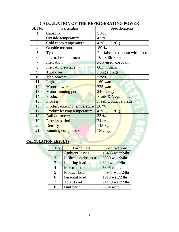| Sl. No.        | Particulars                         | Specifications                  |
|----------------|-------------------------------------|---------------------------------|
| 1              | Capacity                            | 5 MT                            |
| $\overline{2}$ | Outside temperature                 | 43 °C                           |
| 3              | Cold room temperature               | $\overline{4}$ °C ( $\pm$ 2 °C) |
| $\overline{4}$ | Outside moisture                    | 50 %                            |
| 5              | Type                                | Pre-fabricated room with floor  |
| 6              | Internal room dimension             | 10ft x 8ft x 8ft                |
| 7              | Insulation                          | Poly-urethane foam              |
| 8              | <b>Insulating surface</b>           | 60mm thick                      |
| 9              | Turn over                           | Long storage                    |
| 10             | Man powers                          | $2$ nos.                        |
| 11             | Light                               | 160 watt                        |
| 12             | Motor power                         | 225 watt                        |
| 13             | Motor running period                | 24hrs/day                       |
| 14             | Product                             | Fruits & Vegetables             |
| 15             | <b>Process</b>                      | <b>Fresh product storage</b>    |
| 16             | <b>Product entering temperature</b> | 28 °C                           |
| 17             | <b>Product leaving temperature</b>  | $4^{\circ}C (\pm 2^{\circ}C)$   |
| 18             | Daily turnover                      | 33 %                            |
| 19             | Process period                      | 24 hrs                          |
| 20             | <b>Density</b>                      | 145 kg/cum                      |
| 21             | Running compressor                  | 18h/day                         |

# **CALCULATION OF THE REFRIGERATING POWER**

# **CALCULATION RESULTS**

| <b>Sl. No.</b>         | <b>Particulars</b>      | <b>Specifications</b> |
|------------------------|-------------------------|-----------------------|
| $\mathbf{\mathcal{V}}$ | <b>Ambient losses</b>   | 15438 watt/24hr       |
| $\overline{2}$         | Infiltration due to use | 8030 watt/24hr        |
| 3                      | <b>Lighting load</b>    | 320 watt/24hr         |
| 4                      | Motor load              | 5396 watts/24hr       |
| 5                      | Product load            | 40981 watt/24hr       |
| 6                      | Personal load           | 1013 watt/24hr        |
| 7                      | <b>Total Load</b>       | 71178 watt/24hr       |
| 8                      | Unit per hr             | 3994 watt             |